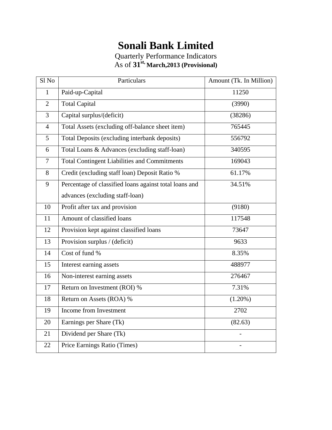## **Sonali Bank Limited**

| Sl No          | Particulars                                            | Amount (Tk. In Million) |
|----------------|--------------------------------------------------------|-------------------------|
| $\mathbf{1}$   | Paid-up-Capital                                        | 11250                   |
| $\overline{2}$ | <b>Total Capital</b>                                   | (3990)                  |
| $\overline{3}$ | Capital surplus/(deficit)                              | (38286)                 |
| $\overline{4}$ | Total Assets (excluding off-balance sheet item)        | 765445                  |
| $\overline{5}$ | Total Deposits (excluding interbank deposits)          | 556792                  |
| 6              | Total Loans & Advances (excluding staff-loan)          | 340595                  |
| $\overline{7}$ | <b>Total Contingent Liabilities and Commitments</b>    | 169043                  |
| 8              | Credit (excluding staff loan) Deposit Ratio %          | 61.17%                  |
| 9              | Percentage of classified loans against total loans and | 34.51%                  |
|                | advances (excluding staff-loan)                        |                         |
| 10             | Profit after tax and provision                         | (9180)                  |
| 11             | Amount of classified loans                             | 117548                  |
| 12             | Provision kept against classified loans                | 73647                   |
| 13             | Provision surplus / (deficit)                          | 9633                    |
| 14             | Cost of fund %                                         | 8.35%                   |
| 15             | Interest earning assets                                | 488977                  |
| 16             | Non-interest earning assets                            | 276467                  |
| 17             | Return on Investment (ROI) %                           | 7.31%                   |
| 18             | Return on Assets (ROA) %                               | $(1.20\%)$              |
| 19             | Income from Investment                                 | 2702                    |
| 20             | Earnings per Share (Tk)                                | (82.63)                 |
| 21             | Dividend per Share (Tk)                                |                         |
| 22             | Price Earnings Ratio (Times)                           |                         |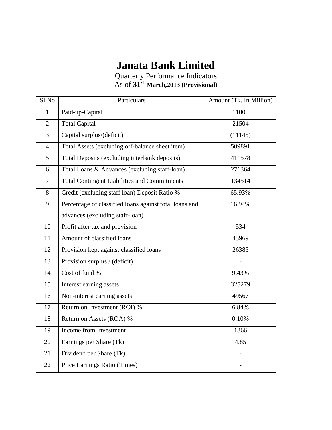## **Janata Bank Limited**

| Sl <sub>No</sub> | Particulars                                            | Amount (Tk. In Million) |
|------------------|--------------------------------------------------------|-------------------------|
| $\mathbf{1}$     | Paid-up-Capital                                        | 11000                   |
| $\overline{2}$   | <b>Total Capital</b>                                   | 21504                   |
| $\overline{3}$   | Capital surplus/(deficit)                              | (11145)                 |
| $\overline{4}$   | Total Assets (excluding off-balance sheet item)        | 509891                  |
| 5                | Total Deposits (excluding interbank deposits)          | 411578                  |
| 6                | Total Loans & Advances (excluding staff-loan)          | 271364                  |
| $\overline{7}$   | <b>Total Contingent Liabilities and Commitments</b>    | 134514                  |
| 8                | Credit (excluding staff loan) Deposit Ratio %          | 65.93%                  |
| 9                | Percentage of classified loans against total loans and | 16.94%                  |
|                  | advances (excluding staff-loan)                        |                         |
| 10               | Profit after tax and provision                         | 534                     |
| 11               | Amount of classified loans                             | 45969                   |
| 12               | Provision kept against classified loans                | 26385                   |
| 13               | Provision surplus / (deficit)                          |                         |
| 14               | Cost of fund %                                         | 9.43%                   |
| 15               | Interest earning assets                                | 325279                  |
| 16               | Non-interest earning assets                            | 49567                   |
| 17               | Return on Investment (ROI) %                           | 6.84%                   |
| 18               | Return on Assets (ROA) %                               | 0.10%                   |
| 19               | Income from Investment                                 | 1866                    |
| 20               | Earnings per Share (Tk)                                | 4.85                    |
| 21               | Dividend per Share (Tk)                                |                         |
| 22               | Price Earnings Ratio (Times)                           |                         |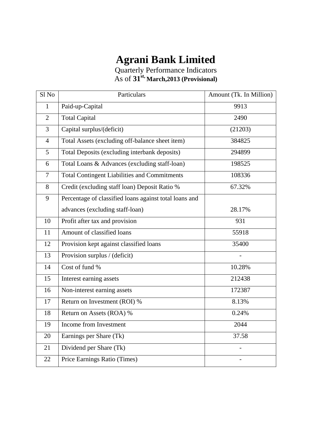## **Agrani Bank Limited**

| Sl No          | Particulars                                            | Amount (Tk. In Million) |
|----------------|--------------------------------------------------------|-------------------------|
| $\mathbf{1}$   | Paid-up-Capital                                        | 9913                    |
| $\overline{2}$ | <b>Total Capital</b>                                   | 2490                    |
| $\overline{3}$ | Capital surplus/(deficit)                              | (21203)                 |
| $\overline{4}$ | Total Assets (excluding off-balance sheet item)        | 384825                  |
| 5              | Total Deposits (excluding interbank deposits)          | 294899                  |
| 6              | Total Loans & Advances (excluding staff-loan)          | 198525                  |
| $\overline{7}$ | <b>Total Contingent Liabilities and Commitments</b>    | 108336                  |
| 8              | Credit (excluding staff loan) Deposit Ratio %          | 67.32%                  |
| 9              | Percentage of classified loans against total loans and |                         |
|                | advances (excluding staff-loan)                        | 28.17%                  |
| 10             | Profit after tax and provision                         | 931                     |
| 11             | Amount of classified loans                             | 55918                   |
| 12             | Provision kept against classified loans                | 35400                   |
| 13             | Provision surplus / (deficit)                          |                         |
| 14             | Cost of fund %                                         | 10.28%                  |
| 15             | Interest earning assets                                | 212438                  |
| 16             | Non-interest earning assets                            | 172387                  |
| 17             | Return on Investment (ROI) %                           | 8.13%                   |
| 18             | Return on Assets (ROA) %                               | 0.24%                   |
| 19             | Income from Investment                                 | 2044                    |
| 20             | Earnings per Share (Tk)                                | 37.58                   |
| 21             | Dividend per Share (Tk)                                |                         |
| 22             | Price Earnings Ratio (Times)                           |                         |